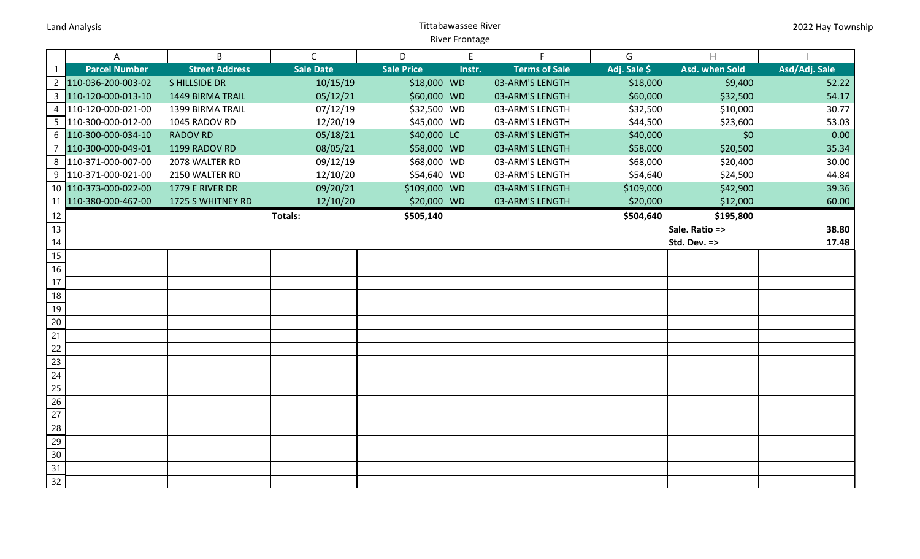## Land Analysis **National Analysis** Controllering Controllering Controllering Controllering Controllering Controllering Controllering Controllering Controllering Controllering Controllering Controllering Controllering Contro River Frontage

|                 | A                     | B                     | $\mathsf{C}$     | D                 | E      | F                    | G            | H              |               |
|-----------------|-----------------------|-----------------------|------------------|-------------------|--------|----------------------|--------------|----------------|---------------|
|                 | <b>Parcel Number</b>  | <b>Street Address</b> | <b>Sale Date</b> | <b>Sale Price</b> | Instr. | <b>Terms of Sale</b> | Adj. Sale \$ | Asd. when Sold | Asd/Adj. Sale |
| $\overline{2}$  | 110-036-200-003-02    | <b>SHILLSIDE DR</b>   | 10/15/19         | \$18,000 WD       |        | 03-ARM'S LENGTH      | \$18,000     | \$9,400        | 52.22         |
| $\mathsf{3}$    | 110-120-000-013-10    | 1449 BIRMA TRAIL      | 05/12/21         | \$60,000 WD       |        | 03-ARM'S LENGTH      | \$60,000     | \$32,500       | 54.17         |
| $\overline{4}$  | 110-120-000-021-00    | 1399 BIRMA TRAIL      | 07/12/19         | \$32,500 WD       |        | 03-ARM'S LENGTH      | \$32,500     | \$10,000       | 30.77         |
|                 | 5  110-300-000-012-00 | 1045 RADOV RD         | 12/20/19         | \$45,000 WD       |        | 03-ARM'S LENGTH      | \$44,500     | \$23,600       | 53.03         |
|                 | 6 110-300-000-034-10  | <b>RADOV RD</b>       | 05/18/21         | \$40,000 LC       |        | 03-ARM'S LENGTH      | \$40,000     | \$0            | 0.00          |
| $\overline{7}$  | 110-300-000-049-01    | 1199 RADOV RD         | 08/05/21         | \$58,000 WD       |        | 03-ARM'S LENGTH      | \$58,000     | \$20,500       | 35.34         |
|                 | 8 110-371-000-007-00  | 2078 WALTER RD        | 09/12/19         | \$68,000 WD       |        | 03-ARM'S LENGTH      | \$68,000     | \$20,400       | 30.00         |
|                 | 9  110-371-000-021-00 | 2150 WALTER RD        | 12/10/20         | \$54,640 WD       |        | 03-ARM'S LENGTH      | \$54,640     | \$24,500       | 44.84         |
|                 | 10 110-373-000-022-00 | 1779 E RIVER DR       | 09/20/21         | \$109,000 WD      |        | 03-ARM'S LENGTH      | \$109,000    | \$42,900       | 39.36         |
| 11              | 110-380-000-467-00    | 1725 S WHITNEY RD     | 12/10/20         | \$20,000 WD       |        | 03-ARM'S LENGTH      | \$20,000     | \$12,000       | 60.00         |
| 12              |                       |                       | Totals:          | \$505,140         |        |                      | \$504,640    | \$195,800      |               |
| 13              |                       |                       |                  |                   |        |                      |              | Sale. Ratio => | 38.80         |
| $\overline{14}$ |                       |                       |                  |                   |        |                      |              | Std. Dev. =>   | 17.48         |
| 15              |                       |                       |                  |                   |        |                      |              |                |               |
| 16              |                       |                       |                  |                   |        |                      |              |                |               |
| 17              |                       |                       |                  |                   |        |                      |              |                |               |
| 18              |                       |                       |                  |                   |        |                      |              |                |               |
| 19              |                       |                       |                  |                   |        |                      |              |                |               |
| 20              |                       |                       |                  |                   |        |                      |              |                |               |
| 21              |                       |                       |                  |                   |        |                      |              |                |               |
| 22              |                       |                       |                  |                   |        |                      |              |                |               |
| 23              |                       |                       |                  |                   |        |                      |              |                |               |
| 24              |                       |                       |                  |                   |        |                      |              |                |               |
| 25              |                       |                       |                  |                   |        |                      |              |                |               |
| $\overline{26}$ |                       |                       |                  |                   |        |                      |              |                |               |
| 27              |                       |                       |                  |                   |        |                      |              |                |               |
| 28              |                       |                       |                  |                   |        |                      |              |                |               |
| 29              |                       |                       |                  |                   |        |                      |              |                |               |
| 30              |                       |                       |                  |                   |        |                      |              |                |               |
| 31              |                       |                       |                  |                   |        |                      |              |                |               |
| 32              |                       |                       |                  |                   |        |                      |              |                |               |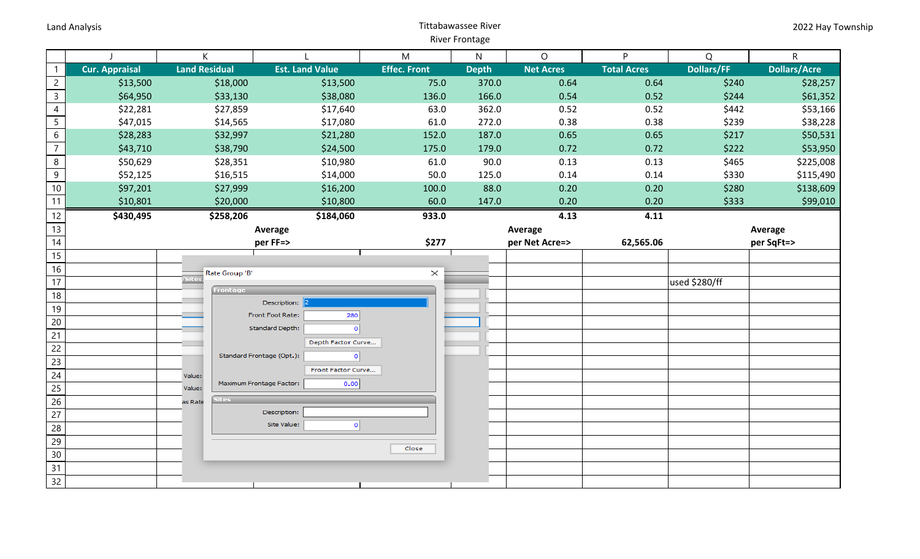## Land Analysis **National Analysis** Controllering Controllering Controllering Controllering Controllering Controllering Controllering Controllering Controllering Controllering Controllering Controllering Controllering Contro River Frontage

|                 |                           | K                    |                           |                        | M                   | $\mathsf{N}$   | $\circ$          | P                  | Q                 | $\mathsf R$         |
|-----------------|---------------------------|----------------------|---------------------------|------------------------|---------------------|----------------|------------------|--------------------|-------------------|---------------------|
| $\mathbf{1}$    | <b>Cur. Appraisal</b>     | <b>Land Residual</b> |                           | <b>Est. Land Value</b> | <b>Effec. Front</b> | <b>Depth</b>   | <b>Net Acres</b> | <b>Total Acres</b> | <b>Dollars/FF</b> | <b>Dollars/Acre</b> |
| $\overline{2}$  | \$13,500                  |                      | \$18,000                  | \$13,500               | 75.0                | 370.0          | 0.64             | 0.64               | \$240             | \$28,257            |
| $\overline{3}$  | \$64,950                  |                      | \$33,130                  | \$38,080               | 136.0               | 166.0          | 0.54             | 0.52               | \$244             | \$61,352            |
| $\overline{4}$  | \$22,281                  |                      | \$27,859                  | \$17,640               | 63.0                | 362.0          | 0.52             | 0.52               | \$442             | \$53,166            |
| $\overline{5}$  | \$47,015                  |                      | \$14,565                  | \$17,080               | 61.0                | 272.0          | 0.38             | 0.38               | \$239             | \$38,228            |
| $6\,$           | \$28,283                  |                      | \$32,997                  | \$21,280               | 152.0               | 187.0          | 0.65             | 0.65               | \$217             | \$50,531            |
| $\overline{7}$  | \$43,710                  |                      | \$38,790                  | \$24,500               | 175.0               | 179.0          | 0.72             | 0.72               | \$222             | \$53,950            |
| $\bf 8$         | \$50,629                  |                      | \$28,351                  | \$10,980               | 61.0                | 90.0           | 0.13             | 0.13               | \$465             | \$225,008           |
| $\overline{9}$  | \$52,125                  |                      | \$16,515                  | \$14,000               | 50.0                | 125.0          | 0.14             | 0.14               | \$330             | \$115,490           |
| $10\,$          | \$97,201                  |                      | \$27,999                  | \$16,200               | 100.0               | 88.0           | 0.20             | 0.20               | \$280             | \$138,609           |
| $\overline{11}$ | \$10,801                  |                      | \$20,000                  | \$10,800               | 60.0                | 147.0          | 0.20             | 0.20               | \$333             | \$99,010            |
| 12              | \$430,495                 |                      | \$258,206                 | \$184,060              | 933.0               |                | 4.13             | 4.11               |                   |                     |
| 13              | Average                   |                      |                           |                        | Average             |                |                  | Average            |                   |                     |
| 14              | per FF=>                  |                      |                           | \$277                  |                     | per Net Acre=> | 62,565.06        |                    | per SqFt=>        |                     |
| 15              |                           |                      |                           |                        |                     |                |                  |                    |                   |                     |
| 16              |                           |                      | Rate Group 'B'            |                        | $\times$            |                |                  |                    |                   |                     |
| 17              | /Sites<br><b>Frontage</b> |                      |                           |                        |                     |                |                  | used \$280/ff      |                   |                     |
| 18              |                           |                      |                           | Description:           |                     |                |                  |                    |                   |                     |
| 19              |                           |                      | Front Foot Rate:          | 280                    |                     |                |                  |                    |                   |                     |
| $20\,$          |                           |                      | Standard Depth:           | $\circ$                |                     |                |                  |                    |                   |                     |
| 21              |                           |                      |                           | Depth Factor Curve     |                     |                |                  |                    |                   |                     |
| 22              |                           |                      | Standard Frontage (Opt.): | $\circ$                |                     |                |                  |                    |                   |                     |
| 23              |                           |                      |                           | Front Factor Curve     |                     |                |                  |                    |                   |                     |
| 24              |                           | Value:               | Maximum Frontage Factor:  | 0.00                   |                     |                |                  |                    |                   |                     |
| 25              |                           | Value:               |                           |                        |                     |                |                  |                    |                   |                     |
| 26              |                           | as Rate              | ites.                     | Description:           |                     |                |                  |                    |                   |                     |
| 27              |                           |                      |                           | Site Value:<br>$\circ$ |                     |                |                  |                    |                   |                     |
| 28              |                           |                      |                           |                        |                     |                |                  |                    |                   |                     |
| 29              |                           |                      |                           |                        | Close               |                |                  |                    |                   |                     |
| 30              |                           |                      |                           |                        |                     |                |                  |                    |                   |                     |
| 31              |                           |                      |                           |                        |                     |                |                  |                    |                   |                     |
| 32              |                           |                      |                           |                        |                     |                |                  |                    |                   |                     |